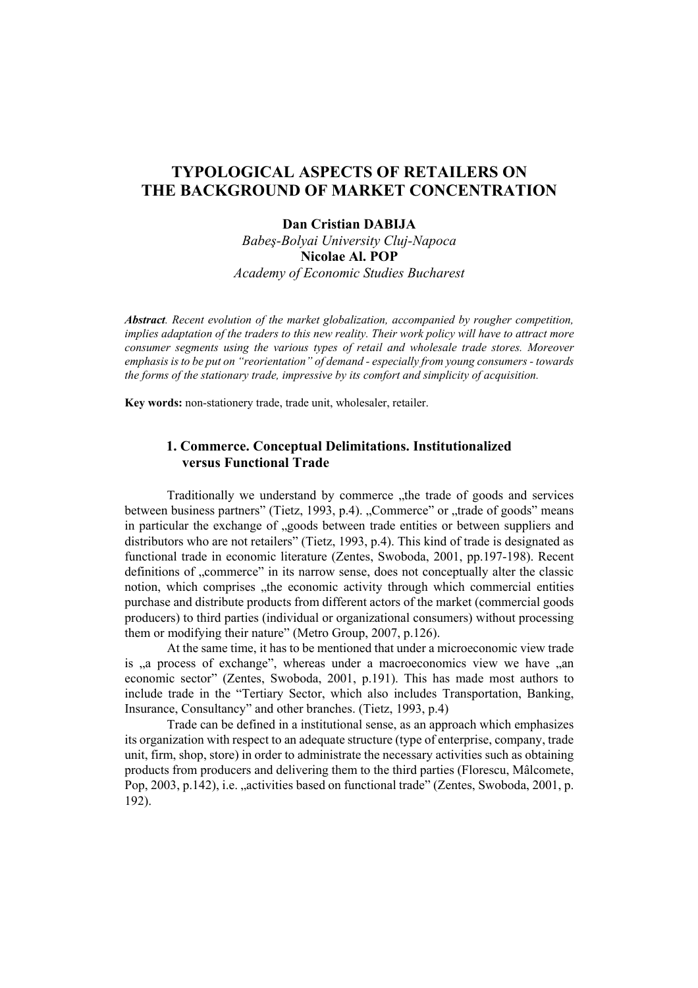# **TYPOLOGICAL ASPECTS OF RETAILERS ON THE BACKGROUND OF MARKET CONCENTRATION**

### **Dan Cristian DABIJA**

*Babeş-Bolyai University Cluj-Napoca*  **Nicolae Al. POP**  *Academy of Economic Studies Bucharest* 

*Abstract. Recent evolution of the market globalization, accompanied by rougher competition, implies adaptation of the traders to this new reality. Their work policy will have to attract more consumer segments using the various types of retail and wholesale trade stores. Moreover emphasis is to be put on "reorientation" of demand - especially from young consumers - towards the forms of the stationary trade, impressive by its comfort and simplicity of acquisition.* 

**Key words:** non-stationery trade, trade unit, wholesaler, retailer.

## **1. Commerce. Conceptual Delimitations. Institutionalized versus Functional Trade**

Traditionally we understand by commerce , the trade of goods and services between business partners" (Tietz, 1993, p.4). "Commerce" or "trade of goods" means in particular the exchange of , goods between trade entities or between suppliers and distributors who are not retailers" (Tietz, 1993, p.4). This kind of trade is designated as functional trade in economic literature (Zentes, Swoboda, 2001, pp.197-198). Recent definitions of "commerce" in its narrow sense, does not conceptually alter the classic notion, which comprises "the economic activity through which commercial entities purchase and distribute products from different actors of the market (commercial goods producers) to third parties (individual or organizational consumers) without processing them or modifying their nature" (Metro Group, 2007, p.126).

At the same time, it has to be mentioned that under a microeconomic view trade is , a process of exchange", whereas under a macroeconomics view we have  $\alpha$ an economic sector" (Zentes, Swoboda, 2001, p.191). This has made most authors to include trade in the "Tertiary Sector, which also includes Transportation, Banking, Insurance, Consultancy" and other branches. (Tietz, 1993, p.4)

Trade can be defined in a institutional sense, as an approach which emphasizes its organization with respect to an adequate structure (type of enterprise, company, trade unit, firm, shop, store) in order to administrate the necessary activities such as obtaining products from producers and delivering them to the third parties (Florescu, Mâlcomete, Pop, 2003, p.142), i.e. "activities based on functional trade" (Zentes, Swoboda, 2001, p. 192).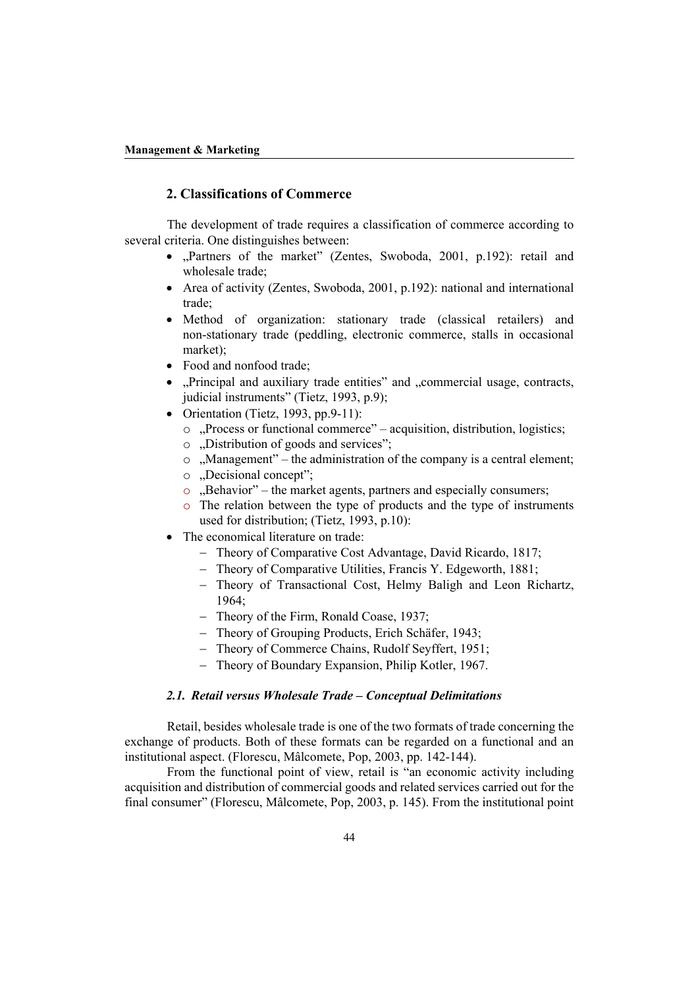### **2. Classifications of Commerce**

 The development of trade requires a classification of commerce according to several criteria. One distinguishes between:

- "Partners of the market" (Zentes, Swoboda, 2001, p.192): retail and wholesale trade;
- Area of activity (Zentes, Swoboda, 2001, p.192): national and international trade;
- Method of organization: stationary trade (classical retailers) and non-stationary trade (peddling, electronic commerce, stalls in occasional market);
- Food and nonfood trade;
- "Principal and auxiliary trade entities" and "commercial usage, contracts, judicial instruments" (Tietz, 1993, p.9);
- Orientation (Tietz, 1993, pp.9-11):
	- $\circ$ , Process or functional commerce" acquisition, distribution, logistics;
	- o ...Distribution of goods and services";
	- o "Management" the administration of the company is a central element;
	- o .Decisional concept";
	- o "Behavior" the market agents, partners and especially consumers;
	- o The relation between the type of products and the type of instruments used for distribution; (Tietz, 1993, p.10):
- The economical literature on trade:
	- − Theory of Comparative Cost Advantage, David Ricardo, 1817;
	- − Theory of Comparative Utilities, Francis Y. Edgeworth, 1881;
	- − Theory of Transactional Cost, Helmy Baligh and Leon Richartz, 1964;
	- − Theory of the Firm, Ronald Coase, 1937;
	- − Theory of Grouping Products, Erich Schäfer, 1943;
	- − Theory of Commerce Chains, Rudolf Seyffert, 1951;
	- − Theory of Boundary Expansion, Philip Kotler, 1967.

#### *2.1. Retail versus Wholesale Trade – Conceptual Delimitations*

 Retail, besides wholesale trade is one of the two formats of trade concerning the exchange of products. Both of these formats can be regarded on a functional and an institutional aspect. (Florescu, Mâlcomete, Pop, 2003, pp. 142-144).

From the functional point of view, retail is "an economic activity including acquisition and distribution of commercial goods and related services carried out for the final consumer" (Florescu, Mâlcomete, Pop, 2003, p. 145). From the institutional point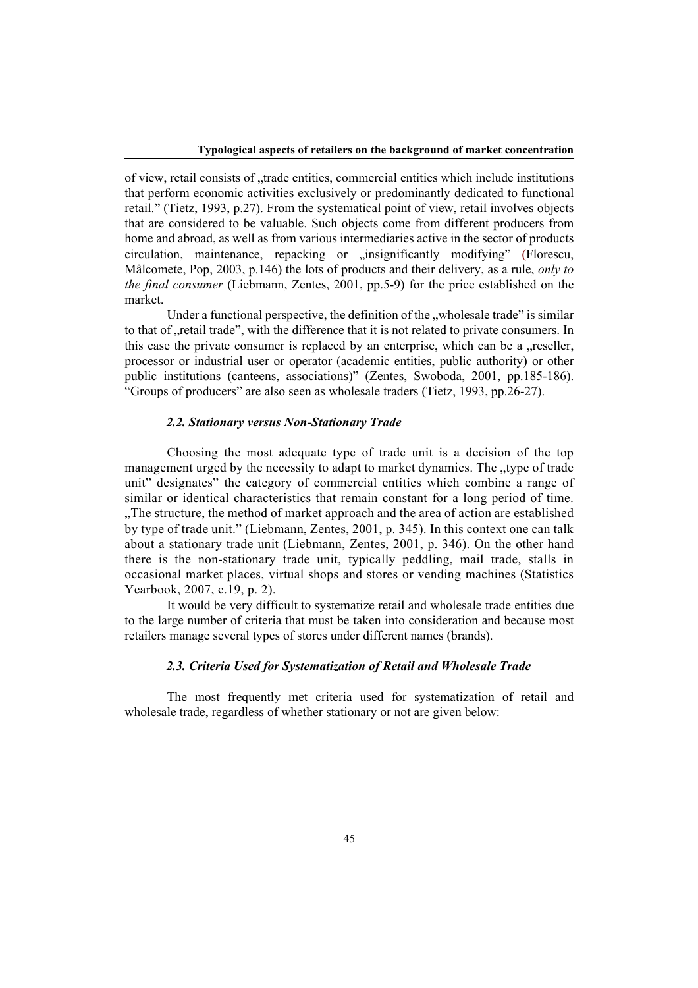of view, retail consists of "trade entities, commercial entities which include institutions that perform economic activities exclusively or predominantly dedicated to functional retail." (Tietz, 1993, p.27). From the systematical point of view, retail involves objects that are considered to be valuable. Such objects come from different producers from home and abroad, as well as from various intermediaries active in the sector of products circulation, maintenance, repacking or "insignificantly modifying" (Florescu, Mâlcomete, Pop, 2003, p.146) the lots of products and their delivery, as a rule, *only to the final consumer* (Liebmann, Zentes, 2001, pp.5-9) for the price established on the market.

Under a functional perspective, the definition of the "wholesale trade" is similar to that of "retail trade", with the difference that it is not related to private consumers. In this case the private consumer is replaced by an enterprise, which can be a  $i$ , reseller, processor or industrial user or operator (academic entities, public authority) or other public institutions (canteens, associations)" (Zentes, Swoboda, 2001, pp.185-186). "Groups of producers" are also seen as wholesale traders (Tietz, 1993, pp.26-27).

#### *2.2. Stationary versus Non-Stationary Trade*

 Choosing the most adequate type of trade unit is a decision of the top management urged by the necessity to adapt to market dynamics. The "type of trade" unit" designates" the category of commercial entities which combine a range of similar or identical characteristics that remain constant for a long period of time. "The structure, the method of market approach and the area of action are established by type of trade unit." (Liebmann, Zentes, 2001, p. 345). In this context one can talk about a stationary trade unit (Liebmann, Zentes, 2001, p. 346). On the other hand there is the non-stationary trade unit, typically peddling, mail trade, stalls in occasional market places, virtual shops and stores or vending machines (Statistics Yearbook, 2007, c.19, p. 2).

It would be very difficult to systematize retail and wholesale trade entities due to the large number of criteria that must be taken into consideration and because most retailers manage several types of stores under different names (brands).

### *2.3. Criteria Used for Systematization of Retail and Wholesale Trade*

The most frequently met criteria used for systematization of retail and wholesale trade, regardless of whether stationary or not are given below: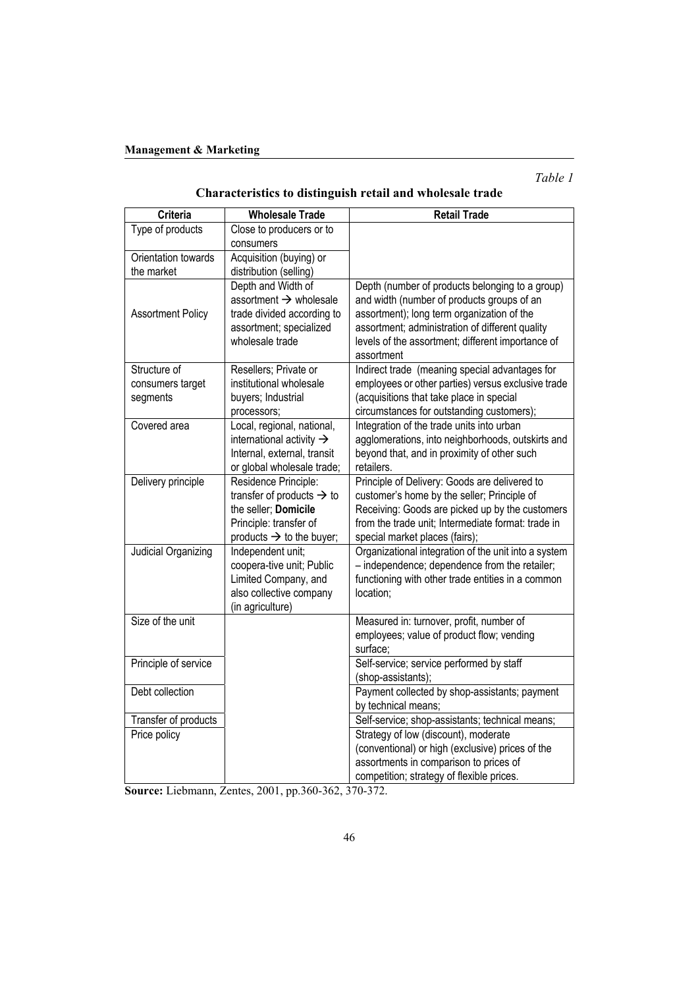*Table 1* 

# **Characteristics to distinguish retail and wholesale trade**

| <b>Criteria</b>          | <b>Wholesale Trade</b>                | <b>Retail Trade</b>                                                                     |
|--------------------------|---------------------------------------|-----------------------------------------------------------------------------------------|
| Type of products         | Close to producers or to              |                                                                                         |
|                          | consumers                             |                                                                                         |
| Orientation towards      | Acquisition (buying) or               |                                                                                         |
| the market               | distribution (selling)                |                                                                                         |
|                          | Depth and Width of                    | Depth (number of products belonging to a group)                                         |
|                          | assortment $\rightarrow$ wholesale    | and width (number of products groups of an                                              |
| <b>Assortment Policy</b> | trade divided according to            | assortment); long term organization of the                                              |
|                          | assortment; specialized               | assortment; administration of different quality                                         |
|                          | wholesale trade                       | levels of the assortment; different importance of                                       |
|                          |                                       | assortment                                                                              |
| Structure of             | Resellers; Private or                 | Indirect trade (meaning special advantages for                                          |
| consumers target         | institutional wholesale               | employees or other parties) versus exclusive trade                                      |
| segments                 | buyers; Industrial                    | (acquisitions that take place in special                                                |
|                          | processors;                           | circumstances for outstanding customers);                                               |
| Covered area             | Local, regional, national,            | Integration of the trade units into urban                                               |
|                          | international activity $\rightarrow$  | agglomerations, into neighborhoods, outskirts and                                       |
|                          | Internal, external, transit           | beyond that, and in proximity of other such                                             |
|                          | or global wholesale trade;            | retailers.                                                                              |
| Delivery principle       | Residence Principle:                  | Principle of Delivery: Goods are delivered to                                           |
|                          | transfer of products $\rightarrow$ to | customer's home by the seller; Principle of                                             |
|                          | the seller; Domicile                  | Receiving: Goods are picked up by the customers                                         |
|                          | Principle: transfer of                | from the trade unit; Intermediate format: trade in                                      |
|                          | products $\rightarrow$ to the buyer;  | special market places (fairs);                                                          |
| Judicial Organizing      | Independent unit;                     | Organizational integration of the unit into a system                                    |
|                          | coopera-tive unit; Public             | - independence; dependence from the retailer;                                           |
|                          | Limited Company, and                  | functioning with other trade entities in a common                                       |
|                          | also collective company               | location;                                                                               |
|                          | (in agriculture)                      |                                                                                         |
| Size of the unit         |                                       | Measured in: turnover, profit, number of                                                |
|                          |                                       | employees; value of product flow; vending                                               |
|                          |                                       | surface:                                                                                |
| Principle of service     |                                       | Self-service; service performed by staff                                                |
|                          |                                       | (shop-assistants);                                                                      |
| Debt collection          |                                       | Payment collected by shop-assistants; payment                                           |
|                          |                                       | by technical means;                                                                     |
| Transfer of products     |                                       | Self-service; shop-assistants; technical means;<br>Strategy of low (discount), moderate |
| Price policy             |                                       | (conventional) or high (exclusive) prices of the                                        |
|                          |                                       | assortments in comparison to prices of                                                  |
|                          |                                       |                                                                                         |
|                          |                                       | competition; strategy of flexible prices.                                               |

**Source:** Liebmann, Zentes, 2001, pp.360-362, 370-372.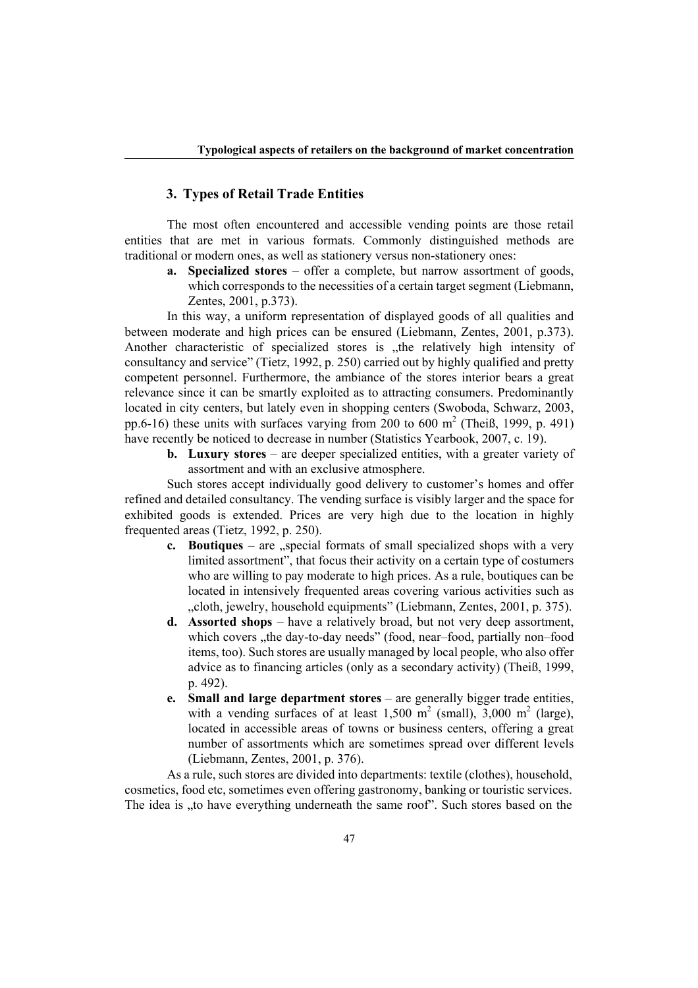### **3. Types of Retail Trade Entities**

 The most often encountered and accessible vending points are those retail entities that are met in various formats. Commonly distinguished methods are traditional or modern ones, as well as stationery versus non-stationery ones:

**a. Specialized stores** – offer a complete, but narrow assortment of goods, which corresponds to the necessities of a certain target segment (Liebmann, Zentes, 2001, p.373).

In this way, a uniform representation of displayed goods of all qualities and between moderate and high prices can be ensured (Liebmann, Zentes, 2001, p.373). Another characteristic of specialized stores is "the relatively high intensity of consultancy and service" (Tietz, 1992, p. 250) carried out by highly qualified and pretty competent personnel. Furthermore, the ambiance of the stores interior bears a great relevance since it can be smartly exploited as to attracting consumers. Predominantly located in city centers, but lately even in shopping centers (Swoboda, Schwarz, 2003, pp.6-16) these units with surfaces varying from 200 to 600  $m^2$  (Theiß, 1999, p. 491) have recently be noticed to decrease in number (Statistics Yearbook, 2007, c. 19).

**b. Luxury stores** – are deeper specialized entities, with a greater variety of assortment and with an exclusive atmosphere.

Such stores accept individually good delivery to customer's homes and offer refined and detailed consultancy. The vending surface is visibly larger and the space for exhibited goods is extended. Prices are very high due to the location in highly frequented areas (Tietz, 1992, p. 250).

- **c. Boutiques** are "special formats of small specialized shops with a very limited assortment", that focus their activity on a certain type of costumers who are willing to pay moderate to high prices. As a rule, boutiques can be located in intensively frequented areas covering various activities such as "cloth, jewelry, household equipments" (Liebmann, Zentes, 2001, p. 375).
- **d. Assorted shops**  have a relatively broad, but not very deep assortment, which covers , the day-to-day needs" (food, near–food, partially non–food items, too). Such stores are usually managed by local people, who also offer advice as to financing articles (only as a secondary activity) (Theiß, 1999, p. 492).
- **e. Small and large department stores** are generally bigger trade entities, with a vending surfaces of at least  $1,500 \text{ m}^2$  (small),  $3,000 \text{ m}^2$  (large), located in accessible areas of towns or business centers, offering a great number of assortments which are sometimes spread over different levels (Liebmann, Zentes, 2001, p. 376).

 As a rule, such stores are divided into departments: textile (clothes), household, cosmetics, food etc, sometimes even offering gastronomy, banking or touristic services. The idea is , to have everything underneath the same roof". Such stores based on the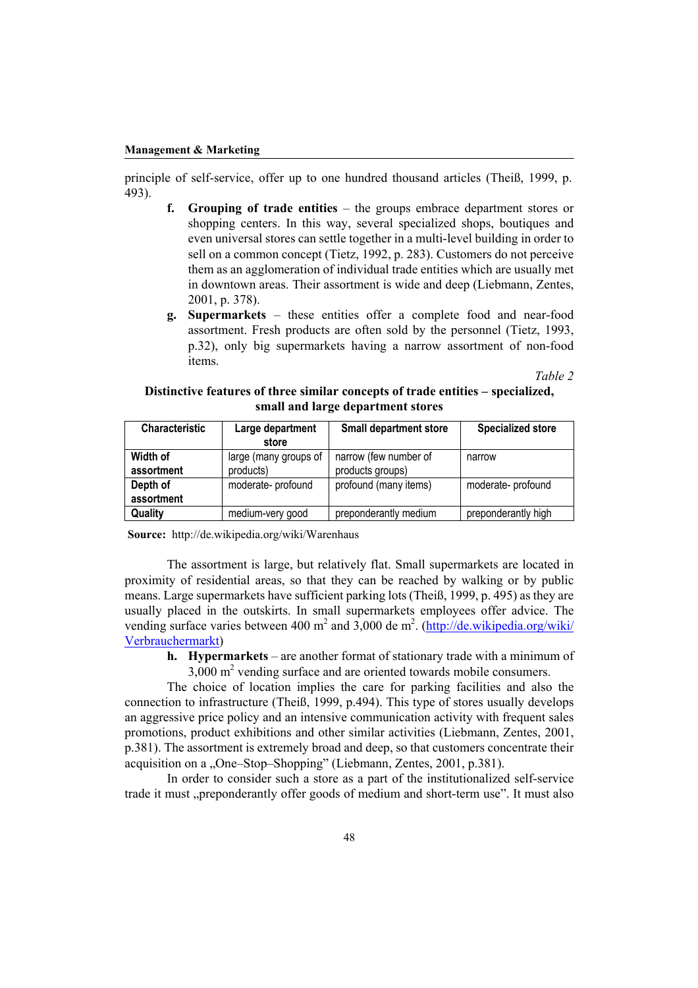principle of self-service, offer up to one hundred thousand articles (Theiß, 1999, p. 493).

- *Grouping of trade entities the groups embrace department stores or* shopping centers. In this way, several specialized shops, boutiques and even universal stores can settle together in a multi-level building in order to sell on a common concept (Tietz, 1992, p. 283). Customers do not perceive them as an agglomeration of individual trade entities which are usually met in downtown areas. Their assortment is wide and deep (Liebmann, Zentes, 2001, p. 378).
- **g. Supermarkets**  these entities offer a complete food and near-food assortment. Fresh products are often sold by the personnel (Tietz, 1993, p.32), only big supermarkets having a narrow assortment of non-food items.

*Table 2* 

| Distinctive features of three similar concepts of trade entities – specialized, |  |                                   |  |  |
|---------------------------------------------------------------------------------|--|-----------------------------------|--|--|
|                                                                                 |  | small and large department stores |  |  |

| <b>Characteristic</b>             | Large department  | <b>Small department store</b> | <b>Specialized store</b> |
|-----------------------------------|-------------------|-------------------------------|--------------------------|
|                                   | store             |                               |                          |
| Width of<br>large (many groups of |                   | narrow (few number of         | narrow                   |
| assortment                        | products)         | products groups)              |                          |
| Depth of                          | moderate-profound | profound (many items)         | moderate-profound        |
| assortment                        |                   |                               |                          |
| Quality                           | medium-very good  | preponderantly medium         | preponderantly high      |

**Source:** http://de.wikipedia.org/wiki/Warenhaus

The assortment is large, but relatively flat. Small supermarkets are located in proximity of residential areas, so that they can be reached by walking or by public means. Large supermarkets have sufficient parking lots (Theiß, 1999, p. 495) as they are usually placed in the outskirts. In small supermarkets employees offer advice. The vending surface varies between 400 m<sup>2</sup> and  $3,000$  de m<sup>2</sup>. (http://de.wikipedia.org/wiki/ Verbrauchermarkt)

**h. Hypermarkets** – are another format of stationary trade with a minimum of  $3,000$  m<sup>2</sup> vending surface and are oriented towards mobile consumers.

The choice of location implies the care for parking facilities and also the connection to infrastructure (Theiß, 1999, p.494). This type of stores usually develops an aggressive price policy and an intensive communication activity with frequent sales promotions, product exhibitions and other similar activities (Liebmann, Zentes, 2001, p.381). The assortment is extremely broad and deep, so that customers concentrate their acquisition on a "One–Stop–Shopping" (Liebmann, Zentes, 2001, p.381).

In order to consider such a store as a part of the institutionalized self-service trade it must "preponderantly offer goods of medium and short-term use". It must also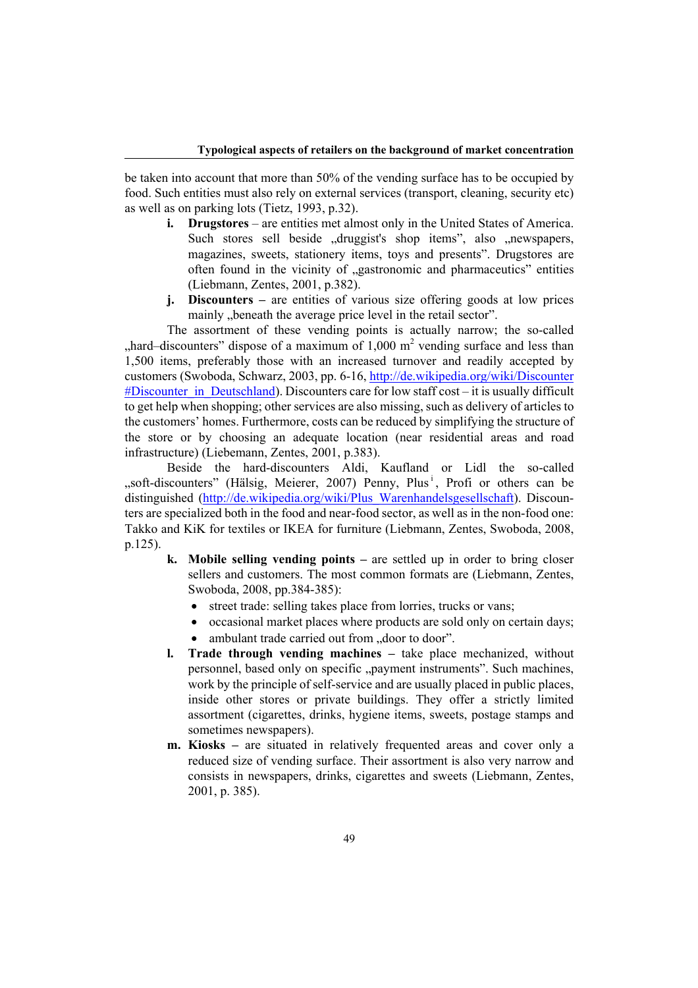be taken into account that more than 50% of the vending surface has to be occupied by food. Such entities must also rely on external services (transport, cleaning, security etc) as well as on parking lots (Tietz, 1993, p.32).

- **i. Drugstores** are entities met almost only in the United States of America. Such stores sell beside "druggist's shop items", also "newspapers, magazines, sweets, stationery items, toys and presents". Drugstores are often found in the vicinity of "gastronomic and pharmaceutics" entities (Liebmann, Zentes, 2001, p.382).
- **j. Discounters** are entities of various size offering goods at low prices mainly "beneath the average price level in the retail sector".

 The assortment of these vending points is actually narrow; the so-called , hard–discounters" dispose of a maximum of  $1,000$  m<sup>2</sup> vending surface and less than 1,500 items, preferably those with an increased turnover and readily accepted by customers (Swoboda, Schwarz, 2003, pp. 6-16, http://de.wikipedia.org/wiki/Discounter #Discounter in Deutschland). Discounters care for low staff cost – it is usually difficult to get help when shopping; other services are also missing, such as delivery of articles to the customers' homes. Furthermore, costs can be reduced by simplifying the structure of the store or by choosing an adequate location (near residential areas and road infrastructure) (Liebemann, Zentes, 2001, p.383).

 Beside the hard-discounters Aldi, Kaufland or Lidl the so-called "soft-discounters" (Hälsig, Meierer, 2007) Penny, Plus<sup>i</sup>, Profi or others can be distinguished (http://de.wikipedia.org/wiki/Plus\_Warenhandelsgesellschaft). Discounters are specialized both in the food and near-food sector, as well as in the non-food one: Takko and KiK for textiles or IKEA for furniture (Liebmann, Zentes, Swoboda, 2008, p.125).

- **k. Mobile selling vending points –** are settled up in order to bring closer sellers and customers. The most common formats are (Liebmann, Zentes, Swoboda, 2008, pp.384-385):
	- street trade: selling takes place from lorries, trucks or vans;
	- occasional market places where products are sold only on certain days;
	- ambulant trade carried out from ..door to door".
- **l. Trade through vending machines** take place mechanized, without personnel, based only on specific "payment instruments". Such machines, work by the principle of self-service and are usually placed in public places, inside other stores or private buildings. They offer a strictly limited assortment (cigarettes, drinks, hygiene items, sweets, postage stamps and sometimes newspapers).
- **m. Kiosks** are situated in relatively frequented areas and cover only a reduced size of vending surface. Their assortment is also very narrow and consists in newspapers, drinks, cigarettes and sweets (Liebmann, Zentes, 2001, p. 385).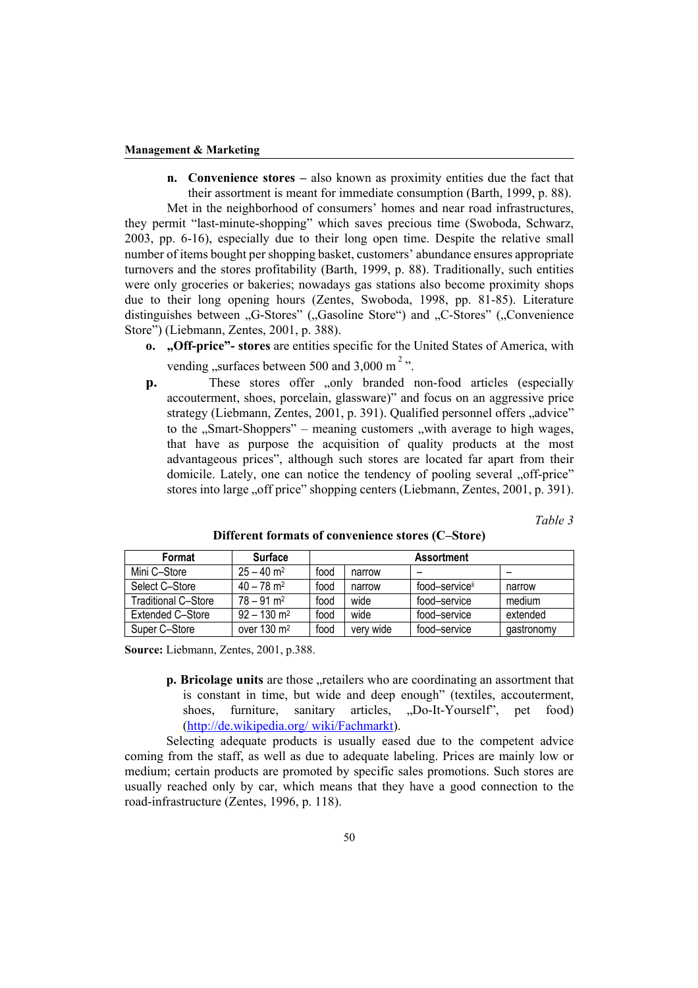**n. Convenience stores –** also known as proximity entities due the fact that their assortment is meant for immediate consumption (Barth, 1999, p. 88).

 Met in the neighborhood of consumers' homes and near road infrastructures, they permit "last-minute-shopping" which saves precious time (Swoboda, Schwarz, 2003, pp. 6-16), especially due to their long open time. Despite the relative small number of items bought per shopping basket, customers' abundance ensures appropriate turnovers and the stores profitability (Barth, 1999, p. 88). Traditionally, such entities were only groceries or bakeries; nowadays gas stations also become proximity shops due to their long opening hours (Zentes, Swoboda, 1998, pp. 81-85). Literature distinguishes between "G-Stores" ("Gasoline Store") and "C-Stores" ("Convenience") Store") (Liebmann, Zentes, 2001, p. 388).

- **o. "Off-price"- stores** are entities specific for the United States of America, with vending "surfaces between 500 and 3,000 m<sup>2</sup>.
- **p.** These stores offer ,, only branded non-food articles (especially accouterment, shoes, porcelain, glassware)" and focus on an aggressive price strategy (Liebmann, Zentes, 2001, p. 391). Qualified personnel offers "advice" to the "Smart-Shoppers" – meaning customers "with average to high wages, that have as purpose the acquisition of quality products at the most advantageous prices", although such stores are located far apart from their domicile. Lately, one can notice the tendency of pooling several "off-price" stores into large "off price" shopping centers (Liebmann, Zentes, 2001, p. 391).

*Table 3* 

| Format              | <b>Surface</b>            | <b>Assortment</b> |           |                            |            |  |
|---------------------|---------------------------|-------------------|-----------|----------------------------|------------|--|
| Mini C-Store        | $25 - 40$ m <sup>2</sup>  | food              | narrow    |                            |            |  |
| Select C-Store      | $40 - 78$ m <sup>2</sup>  | food              | narrow    | food-service <sup>ii</sup> | narrow     |  |
| Traditional C–Store | $78 - 91$ m <sup>2</sup>  | food              | wide      | food-service               | medium     |  |
| Extended C-Store    | $92 - 130$ m <sup>2</sup> | food              | wide      | food-service               | extended   |  |
| Super C-Store       | over $130 \text{ m}^2$    | food              | very wide | food-service               | gastronomy |  |

**Different formats of convenience stores (C–Store)** 

**Source:** Liebmann, Zentes, 2001, p.388.

**p. Bricolage units** are those "retailers who are coordinating an assortment that is constant in time, but wide and deep enough" (textiles, accouterment, shoes, furniture, sanitary articles, "Do-It-Yourself", pet food) (http://de.wikipedia.org/ wiki/Fachmarkt).

Selecting adequate products is usually eased due to the competent advice coming from the staff, as well as due to adequate labeling. Prices are mainly low or medium; certain products are promoted by specific sales promotions. Such stores are usually reached only by car, which means that they have a good connection to the road-infrastructure (Zentes, 1996, p. 118).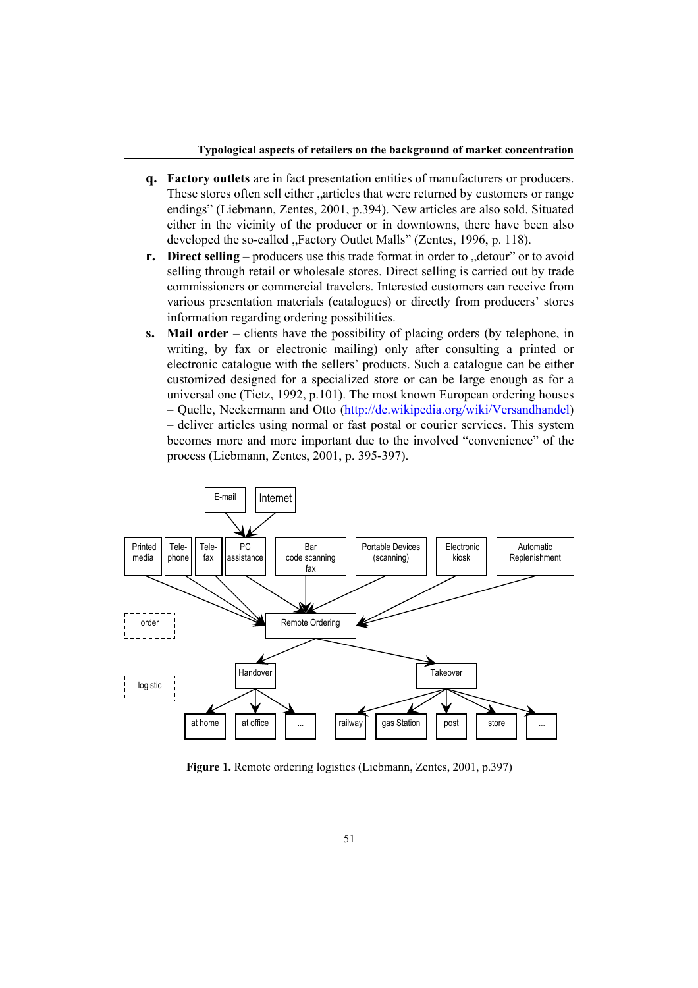#### **Typological aspects of retailers on the background of market concentration**

- **q. Factory outlets** are in fact presentation entities of manufacturers or producers. These stores often sell either "articles that were returned by customers or range endings" (Liebmann, Zentes, 2001, p.394). New articles are also sold. Situated either in the vicinity of the producer or in downtowns, there have been also developed the so-called ...Factory Outlet Malls" (Zentes, 1996, p. 118).
- **r. Direct selling** producers use this trade format in order to ... detour" or to avoid selling through retail or wholesale stores. Direct selling is carried out by trade commissioners or commercial travelers. Interested customers can receive from various presentation materials (catalogues) or directly from producers' stores information regarding ordering possibilities.
- **s. Mail order** clients have the possibility of placing orders (by telephone, in writing, by fax or electronic mailing) only after consulting a printed or electronic catalogue with the sellers' products. Such a catalogue can be either customized designed for a specialized store or can be large enough as for a universal one (Tietz, 1992, p.101). The most known European ordering houses – Quelle, Neckermann and Otto (http://de.wikipedia.org/wiki/Versandhandel) – deliver articles using normal or fast postal or courier services. This system becomes more and more important due to the involved "convenience" of the process (Liebmann, Zentes, 2001, p. 395-397).



**Figure 1.** Remote ordering logistics (Liebmann, Zentes, 2001, p.397)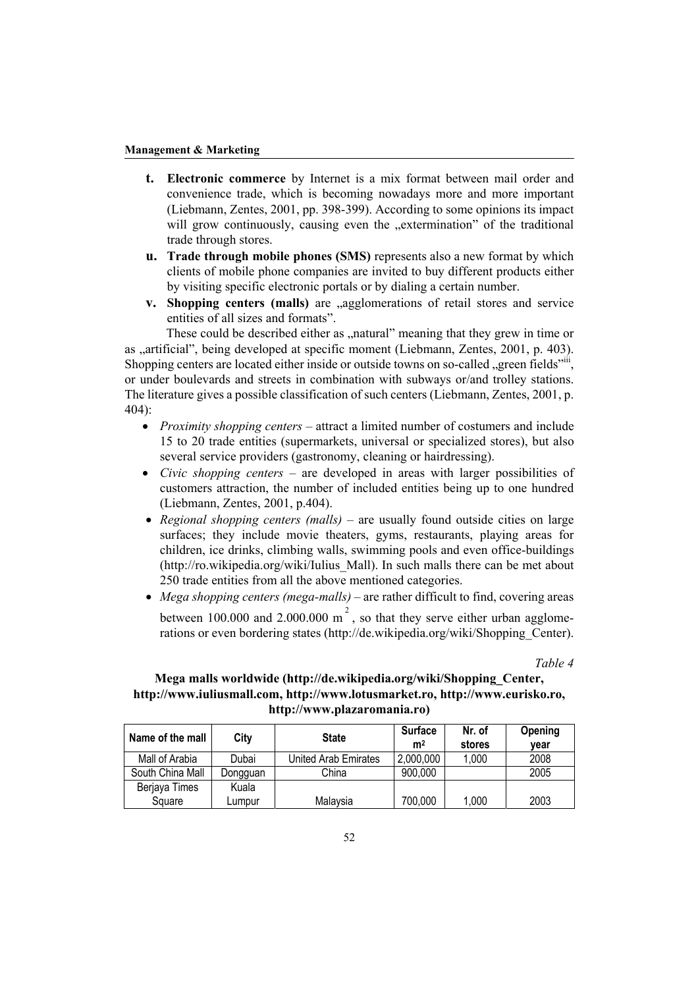- **t. Electronic commerce** by Internet is a mix format between mail order and convenience trade, which is becoming nowadays more and more important (Liebmann, Zentes, 2001, pp. 398-399). According to some opinions its impact will grow continuously, causing even the "extermination" of the traditional trade through stores.
- **u. Trade through mobile phones (SMS)** represents also a new format by which clients of mobile phone companies are invited to buy different products either by visiting specific electronic portals or by dialing a certain number.
- **v. Shopping centers (malls)** are ..agglomerations of retail stores and service entities of all sizes and formats".

These could be described either as "natural" meaning that they grew in time or as "artificial", being developed at specific moment (Liebmann, Zentes, 2001, p. 403). Shopping centers are located either inside or outside towns on so-called "green fields"iii, or under boulevards and streets in combination with subways or/and trolley stations. The literature gives a possible classification of such centers (Liebmann, Zentes, 2001, p. 404):

- *Proximity shopping centers* attract a limited number of costumers and include 15 to 20 trade entities (supermarkets, universal or specialized stores), but also several service providers (gastronomy, cleaning or hairdressing).
- *Civic shopping centers* are developed in areas with larger possibilities of customers attraction, the number of included entities being up to one hundred (Liebmann, Zentes, 2001, p.404).
- *Regional shopping centers (malls)* are usually found outside cities on large surfaces; they include movie theaters, gyms, restaurants, playing areas for children, ice drinks, climbing walls, swimming pools and even office-buildings (http://ro.wikipedia.org/wiki/Iulius\_Mall). In such malls there can be met about 250 trade entities from all the above mentioned categories.
- *Mega shopping centers (mega-malls)* are rather difficult to find, covering areas between 100.000 and 2.000.000 m<sup>2</sup>, so that they serve either urban agglomerations or even bordering states (http://de.wikipedia.org/wiki/Shopping\_Center).

*Table 4* 

### **Mega malls worldwide (http://de.wikipedia.org/wiki/Shopping\_Center, http://www.iuliusmall.com, http://www.lotusmarket.ro, http://www.eurisko.ro, http://www.plazaromania.ro)**

| Name of the mall | City     | <b>State</b>         | <b>Surface</b><br>m <sup>2</sup> | Nr. of<br>stores | Opening<br>vear |
|------------------|----------|----------------------|----------------------------------|------------------|-----------------|
| Mall of Arabia   | Dubai    | United Arab Emirates | 2,000,000                        | 1,000            | 2008            |
| South China Mall | Dongguan | China                | 900,000                          |                  | 2005            |
| Berjaya Times    | Kuala    |                      |                                  |                  |                 |
| Square           | Lumpur   | Malaysia             | 700,000                          | 1,000            | 2003            |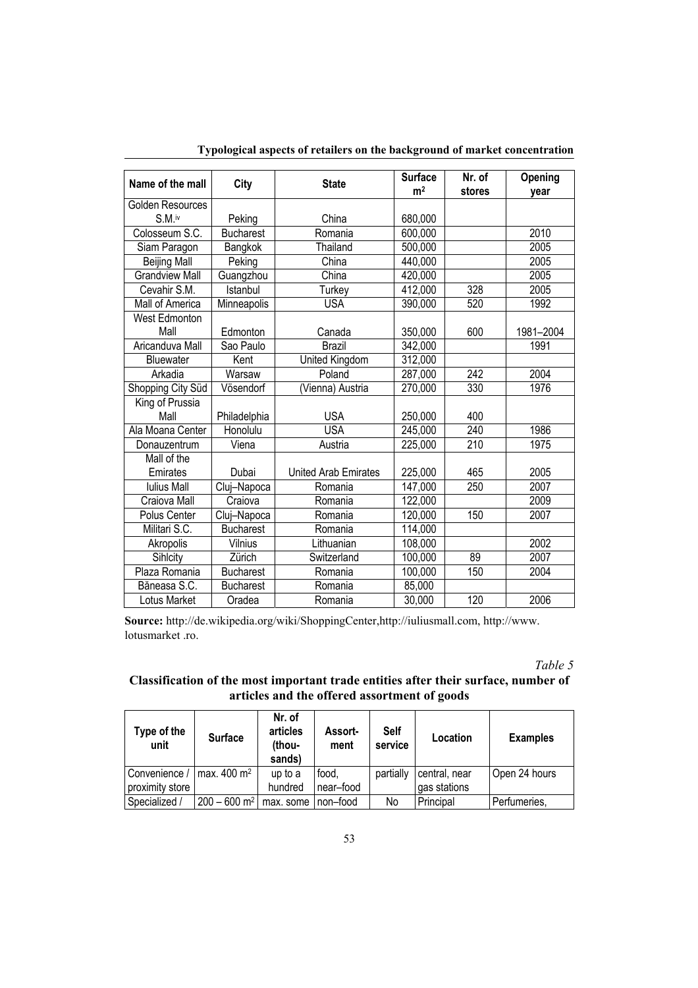| Name of the mall      | City             | <b>State</b>                | <b>Surface</b><br>m <sup>2</sup> | Nr. of<br>stores | Opening<br>vear |
|-----------------------|------------------|-----------------------------|----------------------------------|------------------|-----------------|
| Golden Resources      |                  |                             |                                  |                  |                 |
| S.M. <sup>iv</sup>    | Peking           | China                       | 680,000                          |                  |                 |
| Colosseum S.C.        | <b>Bucharest</b> | Romania                     | 600,000                          |                  | 2010            |
| Siam Paragon          | Bangkok          | Thailand                    | 500,000                          |                  | 2005            |
| <b>Beijing Mall</b>   | Peking           | China                       | 440,000                          |                  | 2005            |
| <b>Grandview Mall</b> | Guangzhou        | China                       | 420,000                          |                  | 2005            |
| Cevahir S.M.          | Istanbul         | Turkey                      | 412,000                          | 328              | 2005            |
| Mall of America       | Minneapolis      | <b>USA</b>                  | 390,000                          | 520              | 1992            |
| West Edmonton         |                  |                             |                                  |                  |                 |
| Mall                  | Edmonton         | Canada                      | 350,000                          | 600              | 1981-2004       |
| Aricanduva Mall       | Sao Paulo        | <b>Brazil</b>               | 342,000                          |                  | 1991            |
| <b>Bluewater</b>      | Kent             | United Kingdom              | 312,000                          |                  |                 |
| Arkadia               | Warsaw           | Poland                      | 287,000                          | 242              | 2004            |
| Shopping City Süd     | Vösendorf        | (Vienna) Austria            | 270,000                          | 330              | 1976            |
| King of Prussia       |                  |                             |                                  |                  |                 |
| Mall                  | Philadelphia     | <b>USA</b>                  | 250,000                          | 400              |                 |
| Ala Moana Center      | Honolulu         | <b>USA</b>                  | 245,000                          | 240              | 1986            |
| Donauzentrum          | Viena            | Austria                     | 225,000                          | 210              | 1975            |
| Mall of the           |                  |                             |                                  |                  |                 |
| Emirates              | Dubai            | <b>United Arab Emirates</b> | 225,000                          | 465              | 2005            |
| <b>Iulius Mall</b>    | Cluj-Napoca      | Romania                     | 147,000                          | 250              | 2007            |
| Craiova Mall          | Craiova          | Romania                     | 122,000                          |                  | 2009            |
| Polus Center          | Cluj-Napoca      | Romania                     | 120,000                          | 150              | 2007            |
| Militari S.C.         | <b>Bucharest</b> | Romania                     | 114,000                          |                  |                 |
| Akropolis             | Vilnius          | Lithuanian                  | 108,000                          |                  | 2002            |
| Sihlcity              | Zürich           | Switzerland                 | 100,000                          | 89               | 2007            |
| Plaza Romania         | <b>Bucharest</b> | Romania                     | 100,000                          | 150              | 2004            |
| Băneasa S.C.          | <b>Bucharest</b> | Romania                     | 85,000                           |                  |                 |
| Lotus Market          | Oradea           | Romania                     | 30,000                           | 120              | 2006            |

**Typological aspects of retailers on the background of market concentration** 

**Source:** http://de.wikipedia.org/wiki/ShoppingCenter,http://iuliusmall.com, http://www. lotusmarket .ro.

*Table 5* 

# **Classification of the most important trade entities after their surface, number of articles and the offered assortment of goods**

| Type of the<br>unit | <b>Surface</b>             | Nr. of<br>articles<br>thou-<br>sands) | <b>Assort-</b><br>ment | <b>Self</b><br>service | Location      | <b>Examples</b> |
|---------------------|----------------------------|---------------------------------------|------------------------|------------------------|---------------|-----------------|
| Convenience         | max. $400 \text{ m}^2$     | up to a                               | food,                  | partially              | central, near | Open 24 hours   |
| proximity store     |                            | hundred                               | near-food              |                        | gas stations  |                 |
| Specialized /       | $200 - 600$ m <sup>2</sup> | max, some                             | I non-food             | No                     | Principal     | Perfumeries,    |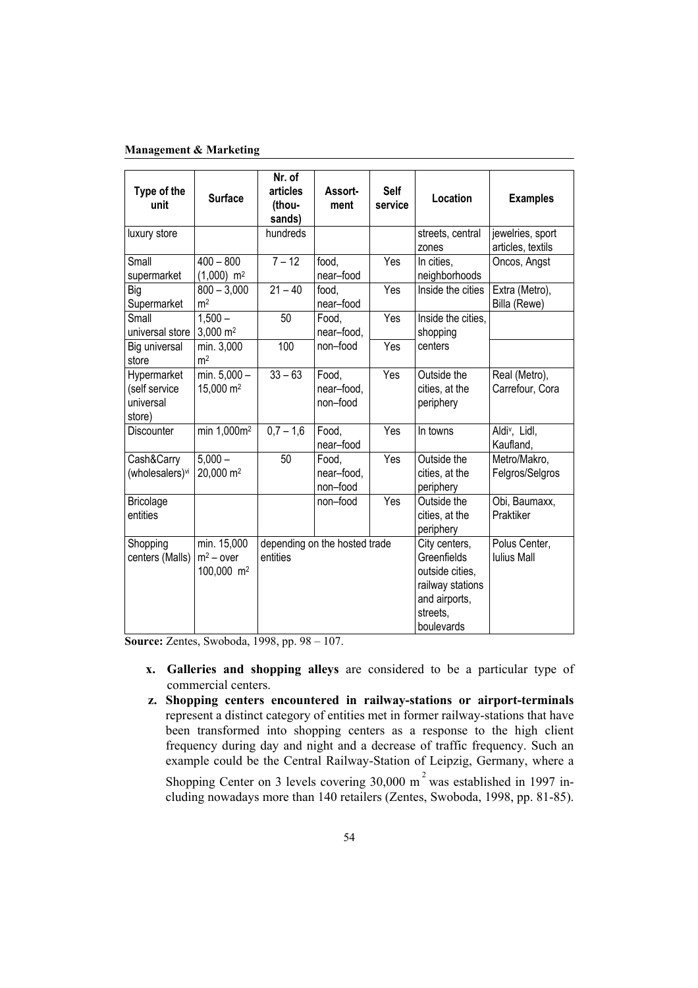| Type of the<br>unit                                 | <b>Surface</b>                                        | Nr. of<br>articles<br>(thou-<br>sands) | Assort-<br>ment                 | Self<br>service | Location                                                                                                       | <b>Examples</b>                        |
|-----------------------------------------------------|-------------------------------------------------------|----------------------------------------|---------------------------------|-----------------|----------------------------------------------------------------------------------------------------------------|----------------------------------------|
| luxury store                                        |                                                       | hundreds                               |                                 |                 | streets, central<br>zones                                                                                      | jewelries, sport<br>articles, textils  |
| Small<br>supermarket                                | $400 - 800$<br>$(1,000)$ m <sup>2</sup>               | $7 - 12$                               | food,<br>near-food              | Yes             | In cities,<br>neighborhoods                                                                                    | Oncos, Angst                           |
| Big<br>Supermarket                                  | $800 - 3,000$<br>m <sup>2</sup>                       | $21 - 40$                              | food,<br>near-food              | Yes             | Inside the cities                                                                                              | Extra (Metro),<br>Billa (Rewe)         |
| Small<br>universal store                            | $1,500 -$<br>3,000 m <sup>2</sup>                     | 50                                     | Food,<br>near-food,             | Yes             | Inside the cities,<br>shopping                                                                                 |                                        |
| Big universal<br>store                              | min. 3,000<br>m <sup>2</sup>                          | 100                                    | non-food                        | Yes             | centers                                                                                                        |                                        |
| Hypermarket<br>(self service<br>universal<br>store) | min. 5,000 -<br>15,000 m <sup>2</sup>                 | $33 - 63$                              | Food,<br>near-food,<br>non-food | Yes             | Outside the<br>cities, at the<br>periphery                                                                     | Real (Metro),<br>Carrefour, Cora       |
| Discounter                                          | min 1,000m <sup>2</sup>                               | $0,7 - 1,6$                            | Food,<br>near-food              | Yes             | In towns                                                                                                       | Aldi <sup>v</sup> , Lidl,<br>Kaufland, |
| Cash&Carry<br>(wholesalers)vi                       | $5,000 -$<br>20,000 m <sup>2</sup>                    | 50                                     | Food,<br>near-food,<br>non-food | Yes             | Outside the<br>cities, at the<br>periphery                                                                     | Metro/Makro,<br>Felgros/Selgros        |
| <b>Bricolage</b><br>entities                        |                                                       |                                        | non-food                        | Yes             | Outside the<br>cities, at the<br>periphery                                                                     | Obi, Baumaxx,<br>Praktiker             |
| Shopping<br>centers (Malls)                         | min. 15,000<br>$m^2$ – over<br>100,000 m <sup>2</sup> | entities                               | depending on the hosted trade   |                 | City centers,<br>Greenfields<br>outside cities,<br>railway stations<br>and airports,<br>streets,<br>boulevards | Polus Center,<br><b>Iulius Mall</b>    |

**Source:** Zentes, Swoboda, 1998, pp. 98 – 107.

- **x. Galleries and shopping alleys** are considered to be a particular type of commercial centers.
- **z. Shopping centers encountered in railway-stations or airport-terminals**  represent a distinct category of entities met in former railway-stations that have been transformed into shopping centers as a response to the high client frequency during day and night and a decrease of traffic frequency. Such an example could be the Central Railway-Station of Leipzig, Germany, where a

Shopping Center on 3 levels covering  $30,000 \text{ m}^2$  was established in 1997 including nowadays more than 140 retailers (Zentes, Swoboda, 1998, pp. 81-85).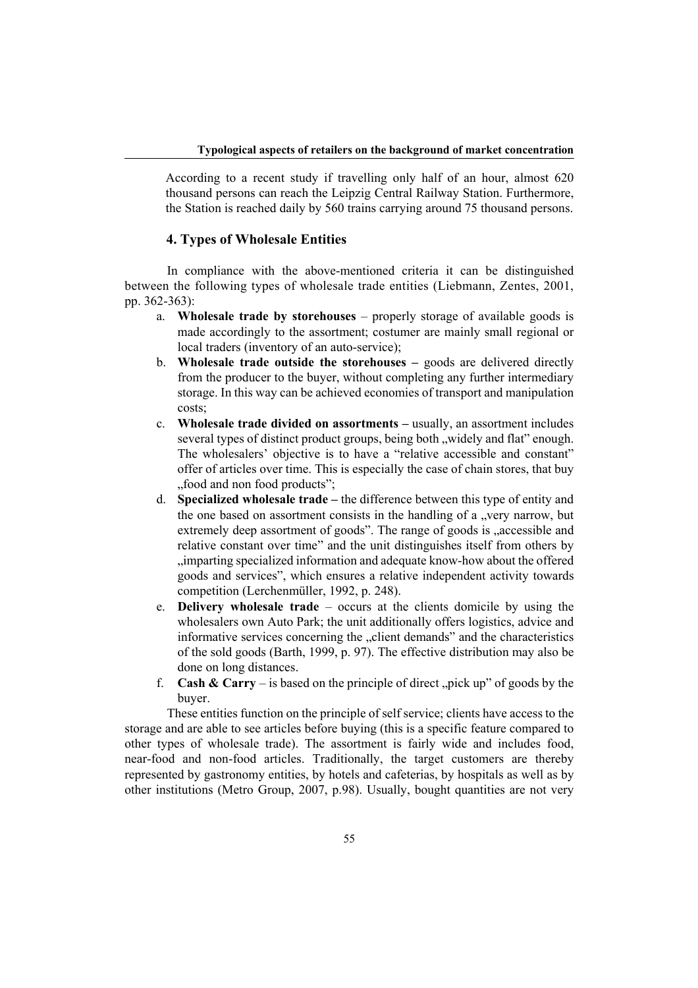According to a recent study if travelling only half of an hour, almost 620 thousand persons can reach the Leipzig Central Railway Station. Furthermore, the Station is reached daily by 560 trains carrying around 75 thousand persons.

### **4. Types of Wholesale Entities**

In compliance with the above-mentioned criteria it can be distinguished between the following types of wholesale trade entities (Liebmann, Zentes, 2001, pp. 362-363):

- a. **Wholesale trade by storehouses**  properly storage of available goods is made accordingly to the assortment; costumer are mainly small regional or local traders (inventory of an auto-service);
- b. **Wholesale trade outside the storehouses** goods are delivered directly from the producer to the buyer, without completing any further intermediary storage. In this way can be achieved economies of transport and manipulation costs;
- c. **Wholesale trade divided on assortments –** usually, an assortment includes several types of distinct product groups, being both "widely and flat" enough. The wholesalers' objective is to have a "relative accessible and constant" offer of articles over time. This is especially the case of chain stores, that buy "food and non food products":
- d. **Specialized wholesale trade** the difference between this type of entity and the one based on assortment consists in the handling of a "very narrow, but extremely deep assortment of goods". The range of goods is  $a$  accessible and relative constant over time" and the unit distinguishes itself from others by "imparting specialized information and adequate know-how about the offered goods and services", which ensures a relative independent activity towards competition (Lerchenmüller, 1992, p. 248).
- e. **Delivery wholesale trade**  occurs at the clients domicile by using the wholesalers own Auto Park; the unit additionally offers logistics, advice and informative services concerning the "client demands" and the characteristics of the sold goods (Barth, 1999, p. 97). The effective distribution may also be done on long distances.
- f. **Cash & Carry** is based on the principle of direct, pick up" of goods by the buyer.

These entities function on the principle of self service; clients have access to the storage and are able to see articles before buying (this is a specific feature compared to other types of wholesale trade). The assortment is fairly wide and includes food, near-food and non-food articles. Traditionally, the target customers are thereby represented by gastronomy entities, by hotels and cafeterias, by hospitals as well as by other institutions (Metro Group, 2007, p.98). Usually, bought quantities are not very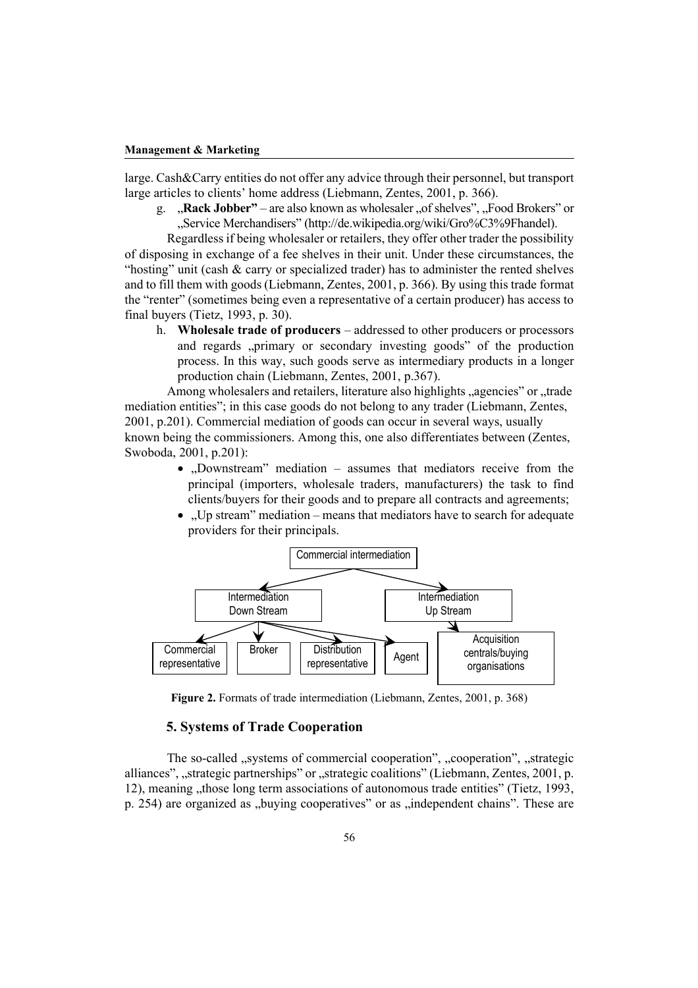large. Cash&Carry entities do not offer any advice through their personnel, but transport large articles to clients' home address (Liebmann, Zentes, 2001, p. 366).

g. "Rack Jobber" – are also known as wholesaler "of shelves", "Food Brokers" or "Service Merchandisers" (http://de.wikipedia.org/wiki/Gro%C3%9Fhandel).

 Regardless if being wholesaler or retailers, they offer other trader the possibility of disposing in exchange of a fee shelves in their unit. Under these circumstances, the "hosting" unit (cash & carry or specialized trader) has to administer the rented shelves and to fill them with goods (Liebmann, Zentes, 2001, p. 366). By using this trade format the "renter" (sometimes being even a representative of a certain producer) has access to final buyers (Tietz, 1993, p. 30).

h. **Wholesale trade of producers** – addressed to other producers or processors and regards "primary or secondary investing goods" of the production process. In this way, such goods serve as intermediary products in a longer production chain (Liebmann, Zentes, 2001, p.367).

Among wholesalers and retailers, literature also highlights "agencies" or "trade mediation entities"; in this case goods do not belong to any trader (Liebmann, Zentes, 2001, p.201). Commercial mediation of goods can occur in several ways, usually known being the commissioners. Among this, one also differentiates between (Zentes, Swoboda, 2001, p.201):

- "Downstream" mediation  $-$  assumes that mediators receive from the principal (importers, wholesale traders, manufacturers) the task to find clients/buyers for their goods and to prepare all contracts and agreements;
- . Up stream" mediation means that mediators have to search for adequate providers for their principals.



**Figure 2.** Formats of trade intermediation (Liebmann, Zentes, 2001, p. 368)

### **5. Systems of Trade Cooperation**

The so-called "systems of commercial cooperation", "cooperation", "strategic alliances", "strategic partnerships" or "strategic coalitions" (Liebmann, Zentes, 2001, p. 12), meaning "those long term associations of autonomous trade entities" (Tietz, 1993, p. 254) are organized as "buying cooperatives" or as "independent chains". These are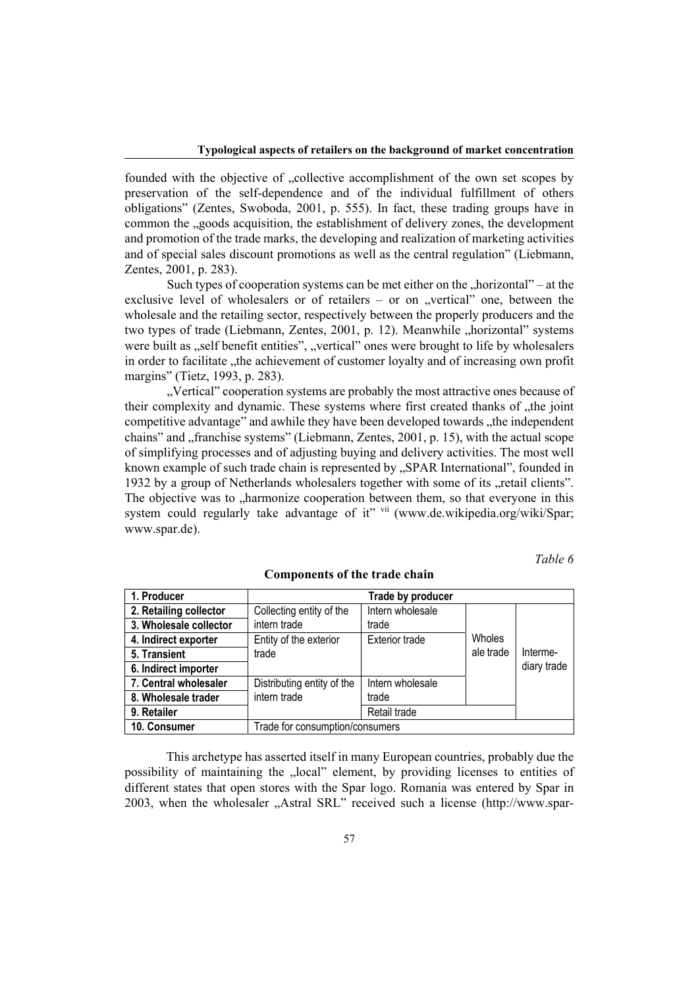founded with the objective of "collective accomplishment of the own set scopes by preservation of the self-dependence and of the individual fulfillment of others obligations" (Zentes, Swoboda, 2001, p. 555). In fact, these trading groups have in common the "goods acquisition, the establishment of delivery zones, the development and promotion of the trade marks, the developing and realization of marketing activities and of special sales discount promotions as well as the central regulation" (Liebmann, Zentes, 2001, p. 283).

Such types of cooperation systems can be met either on the  $n$  horizontal" – at the exclusive level of wholesalers or of retailers  $-$  or on "vertical" one, between the wholesale and the retailing sector, respectively between the properly producers and the two types of trade (Liebmann, Zentes, 2001, p. 12). Meanwhile "horizontal" systems were built as "self benefit entities", "vertical" ones were brought to life by wholesalers in order to facilitate "the achievement of customer loyalty and of increasing own profit margins" (Tietz, 1993, p. 283).

"Vertical" cooperation systems are probably the most attractive ones because of their complexity and dynamic. These systems where first created thanks of "the joint competitive advantage" and awhile they have been developed towards "the independent chains" and  $\alpha$ , franchise systems" (Liebmann, Zentes, 2001, p. 15), with the actual scope of simplifying processes and of adjusting buying and delivery activities. The most well known example of such trade chain is represented by "SPAR International", founded in 1932 by a group of Netherlands wholesalers together with some of its "retail clients". The objective was to "harmonize cooperation between them, so that everyone in this system could regularly take advantage of it" vii (www.de.wikipedia.org/wiki/Spar; www.spar.de).

*Table 6* 

| 1. Producer            |                                 | Trade by producer     |           |             |
|------------------------|---------------------------------|-----------------------|-----------|-------------|
| 2. Retailing collector | Collecting entity of the        | Intern wholesale      |           |             |
| 3. Wholesale collector | intern trade                    | trade                 |           |             |
| 4. Indirect exporter   | Entity of the exterior          | <b>Exterior trade</b> | Wholes    |             |
| 5. Transient           | trade                           |                       | ale trade | Interme-    |
| 6. Indirect importer   |                                 |                       |           | diary trade |
| 7. Central wholesaler  | Distributing entity of the      | Intern wholesale      |           |             |
| 8. Wholesale trader    | intern trade                    | trade                 |           |             |
| 9. Retailer            |                                 | Retail trade          |           |             |
| 10. Consumer           | Trade for consumption/consumers |                       |           |             |

#### **Components of the trade chain**

This archetype has asserted itself in many European countries, probably due the possibility of maintaining the "local" element, by providing licenses to entities of different states that open stores with the Spar logo. Romania was entered by Spar in 2003, when the wholesaler "Astral SRL" received such a license (http://www.spar-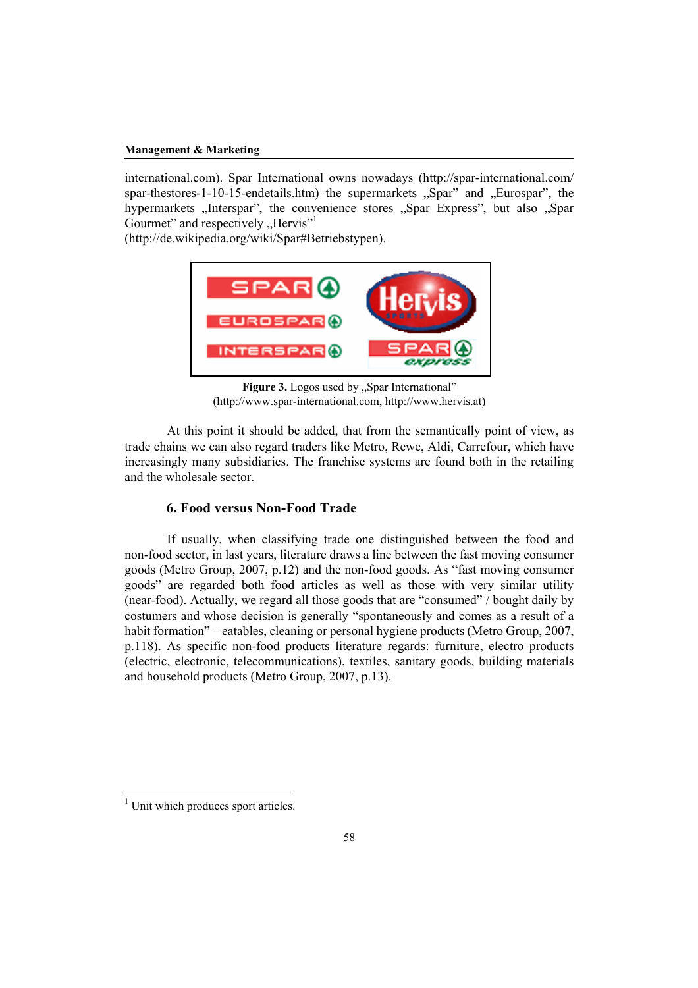international.com). Spar International owns nowadays (http://spar-international.com/ spar-thestores-1-10-15-endetails.htm) the supermarkets  $\sqrt{S}$  Spar" and  $\sqrt{S}$  Eurospar", the hypermarkets "Interspar", the convenience stores "Spar Express", but also "Spar Gourmet" and respectively "Hervis"<sup>1</sup>

(http://de.wikipedia.org/wiki/Spar#Betriebstypen).



Figure 3. Logos used by "Spar International" (http://www.spar-international.com, http://www.hervis.at)

 At this point it should be added, that from the semantically point of view, as trade chains we can also regard traders like Metro, Rewe, Aldi, Carrefour, which have increasingly many subsidiaries. The franchise systems are found both in the retailing and the wholesale sector.

## **6. Food versus Non-Food Trade**

 If usually, when classifying trade one distinguished between the food and non-food sector, in last years, literature draws a line between the fast moving consumer goods (Metro Group, 2007, p.12) and the non-food goods. As "fast moving consumer goods" are regarded both food articles as well as those with very similar utility (near-food). Actually, we regard all those goods that are "consumed" / bought daily by costumers and whose decision is generally "spontaneously and comes as a result of a habit formation" – eatables, cleaning or personal hygiene products (Metro Group, 2007, p.118). As specific non-food products literature regards: furniture, electro products (electric, electronic, telecommunications), textiles, sanitary goods, building materials and household products (Metro Group, 2007, p.13).

 $\overline{a}$ 

<sup>&</sup>lt;sup>1</sup> Unit which produces sport articles.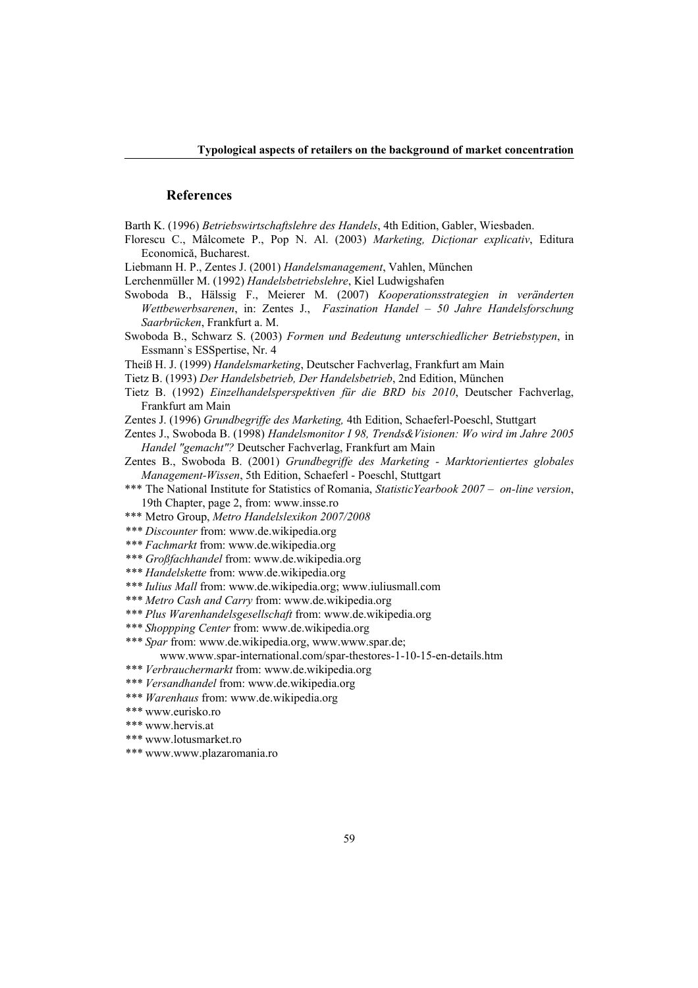### **References**

Barth K. (1996) *Betriebswirtschaftslehre des Handels*, 4th Edition, Gabler, Wiesbaden.

- Florescu C., Mâlcomete P., Pop N. Al. (2003) *Marketing, Dicţionar explicativ*, Editura Economică, Bucharest.
- Liebmann H. P., Zentes J. (2001) *Handelsmanagement*, Vahlen, München
- Lerchenmüller M. (1992) *Handelsbetriebslehre*, Kiel Ludwigshafen
- Swoboda B., Hälssig F., Meierer M. (2007) *Kooperationsstrategien in veränderten Wettbewerbsarenen*, in: Zentes J., *Faszination Handel – 50 Jahre Handelsforschung Saarbrücken*, Frankfurt a. M.
- Swoboda B., Schwarz S. (2003) *Formen und Bedeutung unterschiedlicher Betriebstypen*, in Essmann`s ESSpertise, Nr. 4
- Theiß H. J. (1999) *Handelsmarketing*, Deutscher Fachverlag, Frankfurt am Main
- Tietz B. (1993) *Der Handelsbetrieb, Der Handelsbetrieb*, 2nd Edition, München
- Tietz B. (1992) *Einzelhandelsperspektiven für die BRD bis 2010*, Deutscher Fachverlag, Frankfurt am Main
- Zentes J. (1996) *Grundbegriffe des Marketing,* 4th Edition, Schaeferl-Poeschl, Stuttgart

Zentes J., Swoboda B. (1998) *Handelsmonitor I 98, Trends&Visionen: Wo wird im Jahre 2005 Handel "gemacht"?* Deutscher Fachverlag, Frankfurt am Main

- Zentes B., Swoboda B. (2001) *Grundbegriffe des Marketing Marktorientiertes globales Management-Wissen*, 5th Edition, Schaeferl - Poeschl, Stuttgart
- \*\*\* The National Institute for Statistics of Romania, *StatisticYearbook 2007 on-line version*, 19th Chapter, page 2, from: www.insse.ro
- \*\*\* Metro Group, *Metro Handelslexikon 2007/2008*
- *\*\*\* Discounter* from: www.de.wikipedia.org
- *\*\*\* Fachmarkt* from: www.de.wikipedia.org
- *\*\*\* Großfachhandel* from: www.de.wikipedia.org
- *\*\*\* Handelskette* from: www.de.wikipedia.org
- *\*\*\* Iulius Mall* from: www.de.wikipedia.org; www.iuliusmall.com
- *\*\*\* Metro Cash and Carry* from: www.de.wikipedia.org
- *\*\*\* Plus Warenhandelsgesellschaft* from: www.de.wikipedia.org
- *\*\*\* Shoppping Center* from: www.de.wikipedia.org
- *\*\*\* Spar* from: www.de.wikipedia.org, www.www.spar.de;
	- www.www.spar-international.com/spar-thestores-1-10-15-en-details.htm
- *\*\*\* Verbrauchermarkt* from: www.de.wikipedia.org
- *\*\*\* Versandhandel* from: www.de.wikipedia.org
- *\*\*\* Warenhaus* from: www.de.wikipedia.org
- *\*\*\** www.eurisko.ro
- *\*\*\** www.hervis.at
- *\*\*\** www.lotusmarket.ro
- *\*\*\** www.www.plazaromania.ro